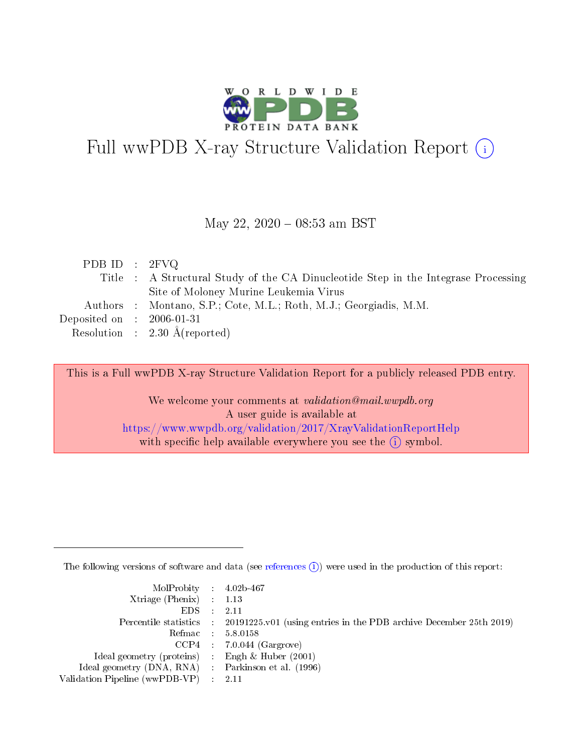

# Full wwPDB X-ray Structure Validation Report (i)

#### May 22, 2020 - 08:53 am BST

| PDB ID : $2FVO$                      |                                                                                    |
|--------------------------------------|------------------------------------------------------------------------------------|
|                                      | Title : A Structural Study of the CA Dinucleotide Step in the Integrase Processing |
|                                      | Site of Moloney Murine Leukemia Virus                                              |
|                                      | Authors : Montano, S.P.; Cote, M.L.; Roth, M.J.; Georgiadis, M.M.                  |
| Deposited on $\therefore$ 2006-01-31 |                                                                                    |
|                                      | Resolution : $2.30 \text{ Å}$ (reported)                                           |

This is a Full wwPDB X-ray Structure Validation Report for a publicly released PDB entry.

We welcome your comments at validation@mail.wwpdb.org A user guide is available at <https://www.wwpdb.org/validation/2017/XrayValidationReportHelp> with specific help available everywhere you see the  $(i)$  symbol.

The following versions of software and data (see [references](https://www.wwpdb.org/validation/2017/XrayValidationReportHelp#references)  $(i)$ ) were used in the production of this report:

| $MolProbability$ 4.02b-467                          |                                                                                            |
|-----------------------------------------------------|--------------------------------------------------------------------------------------------|
| Xtriage (Phenix) $: 1.13$                           |                                                                                            |
| $EDS$ :                                             | -2.11                                                                                      |
|                                                     | Percentile statistics : 20191225.v01 (using entries in the PDB archive December 25th 2019) |
|                                                     | Refmac : 5.8.0158                                                                          |
|                                                     | $CCP4$ : 7.0.044 (Gargrove)                                                                |
| Ideal geometry (proteins) : Engh $\&$ Huber (2001)  |                                                                                            |
| Ideal geometry (DNA, RNA) : Parkinson et al. (1996) |                                                                                            |
| Validation Pipeline (wwPDB-VP)                      | -2.11                                                                                      |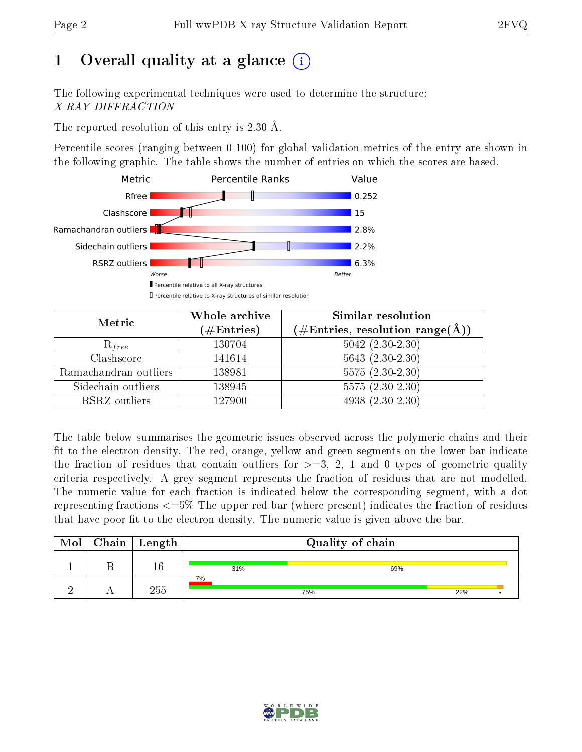# 1 [O](https://www.wwpdb.org/validation/2017/XrayValidationReportHelp#overall_quality)verall quality at a glance  $(i)$

The following experimental techniques were used to determine the structure: X-RAY DIFFRACTION

The reported resolution of this entry is 2.30 Å.

Percentile scores (ranging between 0-100) for global validation metrics of the entry are shown in the following graphic. The table shows the number of entries on which the scores are based.



| Metric                | Whole archive | <b>Similar resolution</b>                                 |  |
|-----------------------|---------------|-----------------------------------------------------------|--|
|                       | $(\#Entries)$ | $(\#\text{Entries}, \text{resolution range}(\text{\AA}))$ |  |
| $R_{free}$            | 130704        | $5042 (2.30 - 2.30)$                                      |  |
| Clashscore            | 141614        | $5643(2.30-2.30)$                                         |  |
| Ramachandran outliers | 138981        | $5575(2.30-2.30)$                                         |  |
| Sidechain outliers    | 138945        | $5575(2.30-2.30)$                                         |  |
| RSRZ outliers         | 127900        | $4938(2.30-2.30)$                                         |  |

The table below summarises the geometric issues observed across the polymeric chains and their fit to the electron density. The red, orange, yellow and green segments on the lower bar indicate the fraction of residues that contain outliers for  $>=3, 2, 1$  and 0 types of geometric quality criteria respectively. A grey segment represents the fraction of residues that are not modelled. The numeric value for each fraction is indicated below the corresponding segment, with a dot representing fractions  $\epsilon=5\%$  The upper red bar (where present) indicates the fraction of residues that have poor fit to the electron density. The numeric value is given above the bar.

| Mol | ${\rm Chain \mid Length}$ |     | Quality of chain |     |  |
|-----|---------------------------|-----|------------------|-----|--|
|     | I t                       | 31% | 69%              |     |  |
|     | 255                       | 7%  | 75%              | 22% |  |

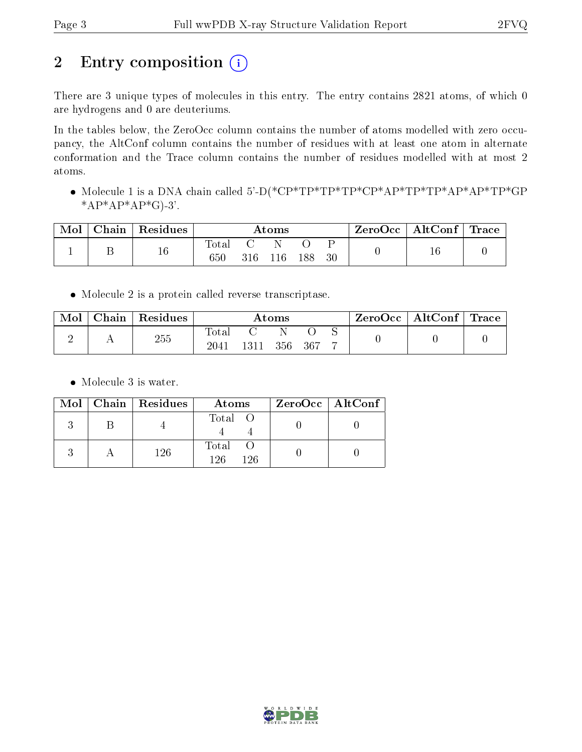# 2 Entry composition (i)

There are 3 unique types of molecules in this entry. The entry contains 2821 atoms, of which 0 are hydrogens and 0 are deuteriums.

In the tables below, the ZeroOcc column contains the number of atoms modelled with zero occupancy, the AltConf column contains the number of residues with at least one atom in alternate conformation and the Trace column contains the number of residues modelled with at most 2 atoms.

 Molecule 1 is a DNA chain called 5'-D(\*CP\*TP\*TP\*TP\*CP\*AP\*TP\*TP\*AP\*AP\*TP\*GP \* $AP*AP*AP*G$ -3'.

| Mol | Chain | Residues | $\rm{Atoms}$ |     |     |     |    | $\perp$ ZeroOcc $\perp$ | $\mid$ AltConf $\mid$ Trace |  |
|-----|-------|----------|--------------|-----|-----|-----|----|-------------------------|-----------------------------|--|
|     |       | 16       | Total<br>650 | 316 | 116 | 188 | 30 |                         |                             |  |

Molecule 2 is a protein called reverse transcriptase.

|  | Chain | Residues | Atoms |     |     |  | ⊢ZeroOcc∣ | $\vert$ AltConf $\vert$ | $\perp$ Trace |  |
|--|-------|----------|-------|-----|-----|--|-----------|-------------------------|---------------|--|
|  |       | 255      | Total |     |     |  |           |                         |               |  |
|  |       | 2041     |       | 356 | 367 |  |           |                         |               |  |

• Molecule 3 is water.

|  | $Mol$   Chain   Residues | Atoms               | ZeroOcc   AltConf |
|--|--------------------------|---------------------|-------------------|
|  |                          | Total O             |                   |
|  | 126                      | Total<br>196<br>126 |                   |

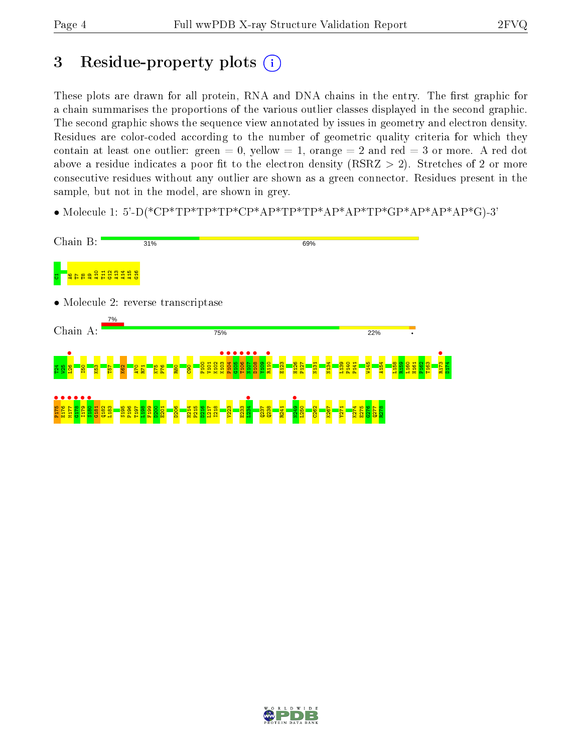# 3 Residue-property plots  $(i)$

These plots are drawn for all protein, RNA and DNA chains in the entry. The first graphic for a chain summarises the proportions of the various outlier classes displayed in the second graphic. The second graphic shows the sequence view annotated by issues in geometry and electron density. Residues are color-coded according to the number of geometric quality criteria for which they contain at least one outlier: green  $= 0$ , yellow  $= 1$ , orange  $= 2$  and red  $= 3$  or more. A red dot above a residue indicates a poor fit to the electron density (RSRZ  $> 2$ ). Stretches of 2 or more consecutive residues without any outlier are shown as a green connector. Residues present in the sample, but not in the model, are shown in grey.

• Molecule 1: 5'-D(\*CP\*TP\*TP\*TP\*CP\*AP\*TP\*TP\*AP\*AP\*TP\*GP\*AP\*AP\*AP\*G)-3'



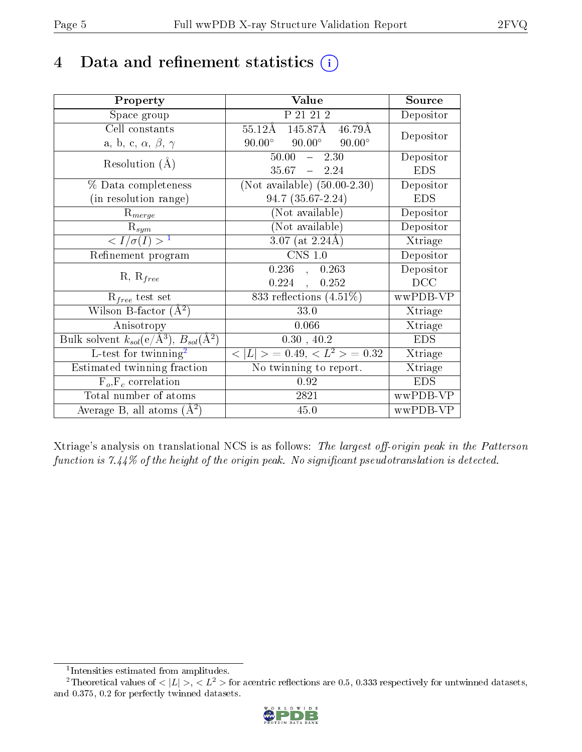# 4 Data and refinement statistics  $(i)$

| Property                                                         | Value                                              | Source                       |
|------------------------------------------------------------------|----------------------------------------------------|------------------------------|
| Space group                                                      | P 21 21 2                                          | Depositor                    |
| Cell constants                                                   | 145.87Å 46.79Å<br>$55.12\text{\AA}$                | Depositor                    |
| a, b, c, $\alpha$ , $\beta$ , $\gamma$                           | $90.00^{\circ}$ $90.00^{\circ}$<br>$90.00^{\circ}$ |                              |
| Resolution $(A)$                                                 | 50.00<br>$-2.30$                                   | Depositor                    |
|                                                                  | $35.67 - 2.24$                                     | <b>EDS</b>                   |
| % Data completeness                                              | (Not available) $(50.00-2.30)$                     | Depositor                    |
| (in resolution range)                                            | $94.7(35.67-2.24)$                                 | <b>EDS</b>                   |
| $R_{merge}$                                                      | (Not available)                                    | Depositor                    |
| $\mathrm{R}_{sym}$                                               | (Not available)                                    | Depositor                    |
| $\langle I/\sigma(I) \rangle^{-1}$                               | $3.07$ (at 2.24Å)                                  | $\overline{\text{X}}$ triage |
| Refinement program                                               | $CNS$ 1.0                                          | Depositor                    |
| $R, R_{free}$                                                    | $0.236$ , $0.263$                                  | Depositor                    |
|                                                                  | 0.224,<br>0.252                                    | DCC                          |
| $R_{free}$ test set                                              | 833 reflections $(4.51\%)$                         | wwPDB-VP                     |
| Wilson B-factor $(A^2)$                                          | 33.0                                               | Xtriage                      |
| Anisotropy                                                       | 0.066                                              | Xtriage                      |
| Bulk solvent $k_{sol}(\text{e}/\text{A}^3), B_{sol}(\text{A}^2)$ | 0.30, 40.2                                         | <b>EDS</b>                   |
| L-test for twinning <sup>2</sup>                                 | $< L >$ = 0.49, $< L^2 >$ = 0.32                   | Xtriage                      |
| Estimated twinning fraction                                      | No twinning to report.                             | $\overline{\text{X}}$ triage |
| $\overline{F_o}, \overline{F_c}$ correlation                     | 0.92                                               | <b>EDS</b>                   |
| Total number of atoms                                            | 2821                                               | wwPDB-VP                     |
| Average B, all atoms $(A^2)$                                     | 45.0                                               | wwPDB-VP                     |

Xtriage's analysis on translational NCS is as follows: The largest off-origin peak in the Patterson function is  $7.44\%$  of the height of the origin peak. No significant pseudotranslation is detected.

<sup>&</sup>lt;sup>2</sup>Theoretical values of  $\langle |L| \rangle$ ,  $\langle L^2 \rangle$  for acentric reflections are 0.5, 0.333 respectively for untwinned datasets, and 0.375, 0.2 for perfectly twinned datasets.



<span id="page-4-1"></span><span id="page-4-0"></span><sup>1</sup> Intensities estimated from amplitudes.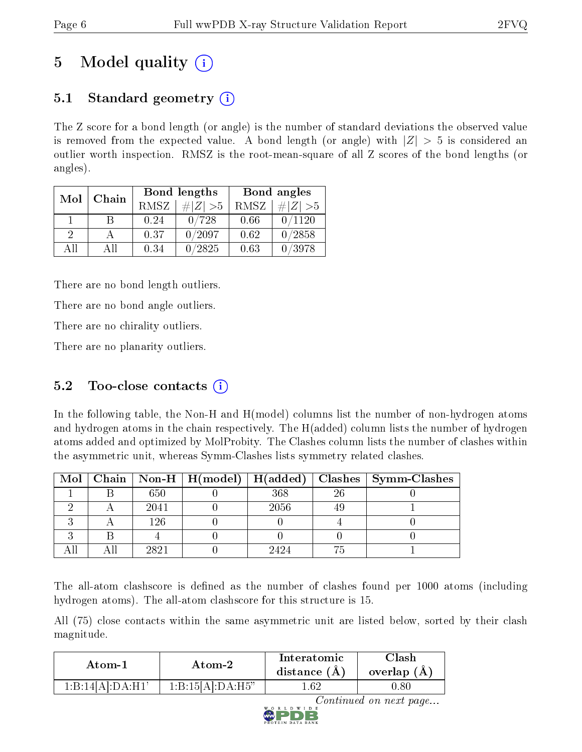# 5 Model quality  $(i)$

## 5.1 Standard geometry  $(i)$

The Z score for a bond length (or angle) is the number of standard deviations the observed value is removed from the expected value. A bond length (or angle) with  $|Z| > 5$  is considered an outlier worth inspection. RMSZ is the root-mean-square of all Z scores of the bond lengths (or angles).

| Mol           | Chain |      | Bond lengths                 | Bond angles |                              |  |
|---------------|-------|------|------------------------------|-------------|------------------------------|--|
|               |       | RMSZ | $\vert \# \vert Z \vert > 5$ | RMSZ        | $\vert \# \vert Z \vert > 5$ |  |
|               | B     | 0.24 | 0/728                        | 0.66        | 0/1120                       |  |
| $\mathcal{D}$ |       | 0.37 | 0/2097                       | 0.62        | 0/2858                       |  |
| AĦ            | Αll   | 0.34 | 0/2825                       | 0.63        | 0/3978                       |  |

There are no bond length outliers.

There are no bond angle outliers.

There are no chirality outliers.

There are no planarity outliers.

## 5.2 Too-close contacts  $(i)$

In the following table, the Non-H and H(model) columns list the number of non-hydrogen atoms and hydrogen atoms in the chain respectively. The H(added) column lists the number of hydrogen atoms added and optimized by MolProbity. The Clashes column lists the number of clashes within the asymmetric unit, whereas Symm-Clashes lists symmetry related clashes.

|  |      |      |     | Mol   Chain   Non-H   H(model)   H(added)   Clashes   Symm-Clashes |
|--|------|------|-----|--------------------------------------------------------------------|
|  | 650  | 368  | -26 |                                                                    |
|  | 2041 | 2056 |     |                                                                    |
|  | 126  |      |     |                                                                    |
|  |      |      |     |                                                                    |
|  | 2821 | 9494 |     |                                                                    |

The all-atom clashscore is defined as the number of clashes found per 1000 atoms (including hydrogen atoms). The all-atom clashscore for this structure is 15.

All (75) close contacts within the same asymmetric unit are listed below, sorted by their clash magnitude.

| Atom-1           | Atom-2           | Interatomic<br>distance $(A)$ | Clash<br>overlap $(A)$ |  |
|------------------|------------------|-------------------------------|------------------------|--|
| 1:B:14[A]:DA:H1' | 1:B:15[A]:DA:H5" | -62                           | 0.80                   |  |



Continued on next page...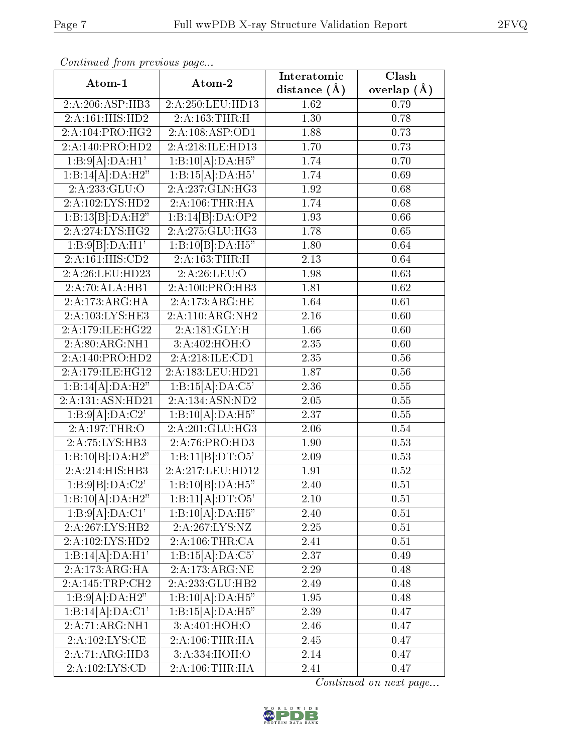| Commuca from previous page         |                              | Interatomic       | Clash         |  |
|------------------------------------|------------------------------|-------------------|---------------|--|
| Atom-1                             | Atom-2                       | distance $(A)$    | overlap $(A)$ |  |
| 2:A:206:ASP:HB3                    | 2:A:250:LEU:HD13             | 1.62              | 0.79          |  |
| 2:A:161:HIS:HD2                    | 2:A:163:THR:H                | $\overline{1.30}$ | 0.78          |  |
| 2:A:104:PRO:HG2                    | 2:A:108:ASP:OD1              | 1.88              | 0.73          |  |
| 2:A:140:PRO:HD2                    | 2:A:218:ILE:HD13             | 1.70              | 0.73          |  |
| 1:B:9[A]:DA:H1'                    | 1:B:10[A]:DA:H5"             | 1.74              | 0.70          |  |
| 1:B:14[A]:DA:H2"                   | 1:B:15[A]:DA:H5'             | 1.74              | 0.69          |  |
| 2:A:233:GLU:O                      | 2:A:237:GLN:HG3              | 1.92              | 0.68          |  |
| 2:A:102:LYS:HD2                    | 2:A:106:THR:HA               | 1.74              | 0.68          |  |
| 1:B:13[B]:DA:H2"                   | 1:B:14[B]:DA:OP2             | 1.93              | 0.66          |  |
| 2:A:274:LYS:HG2                    | 2:A:275:GLU:HG3              | 1.78              | 0.65          |  |
| 1:B:9[B]:DA:H1'                    | 1:B:10[B]:DA:H5"             | 1.80              | 0.64          |  |
| 2:A:161:HIS:CD2                    | 2:A:163:THR:H                | 2.13              | 0.64          |  |
| 2:A:26:LEU:HD23                    | 2:A:26:LEU:O                 | 1.98              | 0.63          |  |
| 2:A:70:ALA:HB1                     | 2:A:100:PRO:HB3              | 1.81              | 0.62          |  |
| 2:A:173:ARG:HA                     | 2:A:173:ARG:HE               | 1.64              | 0.61          |  |
| 2:A:103:LYS:HE3                    | 2:A:110:ARG:NH2              | 2.16              | 0.60          |  |
| 2:A:179:ILE:HG22                   | 2:A:181:GLY:H                | 1.66              | 0.60          |  |
| 2:A:80:ARG:NH1                     | 3:A:402:HOH:O                | 2.35              | 0.60          |  |
| 2:A:140:PRO:HD2                    | 2:A:218:ILE:CD1              | 2.35              | $0.56\,$      |  |
| 2:A:179:ILE:HG12                   | 2:A:183:LEU:HD21             | 1.87              | 0.56          |  |
| 1:B:14[A]:DA:H2"                   | 1:B:15[A]:DA:C5'             | 2.36              | 0.55          |  |
| $2:A:131:A$ SN:HD21                | 2:A:134:ASN:ND2              | 2.05              | 0.55          |  |
| 1:B:9[A]:DA:C2'                    | 1:B:10[A]:DA:H5"             | 2.37              | 0.55          |  |
| 2:A:197:THR:O                      | 2:A:201:GLU:HG3              | 2.06              | 0.54          |  |
| 2:A:75:LYS:HB3                     | 2:A:76:PRO:HD3               | 1.90              | 0.53          |  |
| 1:B:10[B]:DA:H2"                   | 1:B:11[B]:DT:O5'             | 2.09              | 0.53          |  |
| 2:A:214:HIS:HB3                    | 2:A:217:LEU:HD12             | 1.91              | 0.52          |  |
| $1:B:9[B]\overline{.DA:C2'}$       | $1:B:10[B]:DA:\overline{H5}$ | 2.40              | 0.51          |  |
| 1:B:10[A]:DA:H2"                   | 1:B:11[A]:DT:O5'             | 2.10              | 0.51          |  |
| 1:B:9[A]:DA:C1'                    | 1:B:10[A]:DA:H5"             | 2.40              | $0.51\,$      |  |
| 2:A:267:LYS:HB2                    | 2:A:267:LYS:NZ               | $2.25\,$          | 0.51          |  |
| 2:A:102:LYS:HD2                    | 2:A:106:THR:CA               | 2.41              | 0.51          |  |
| 1:B:14[A]:DA:H1'                   | 1:B:15[A]:DA:C5'             | 2.37              | 0.49          |  |
| 2:A:173:ARG:HA                     | 2:A:173:ARG:NE               | 2.29              | 0.48          |  |
| 2:A:145:TRP:CH2                    | 2:A:233:GLU:HB2              | 2.49              | 0.48          |  |
| 1:B:9[A]:DA:H2"                    | 1:B:10[A]:DA:H5"             | 1.95              | 0.48          |  |
| 1:B:14[A]:DA:C1'                   | 1:B:15[A]:DA:H5"             | 2.39              | 0.47          |  |
| 2:A:71:ARG:NH1                     | 3:A:401:HOH:O                | 2.46              | 0.47          |  |
| 2:A:102:LYS:CE                     | 2:A:106:THR:HA               | 2.45              | 0.47          |  |
| 2:A:71:ARG:HD3                     | 3:A:334:HOH:O                | 2.14              | 0.47          |  |
| $2:A:102:\overline{\text{LYS:CD}}$ | 2:A:106:THR:HA               | 2.41              | 0.47          |  |

Continued from previous page.

Continued on next page...

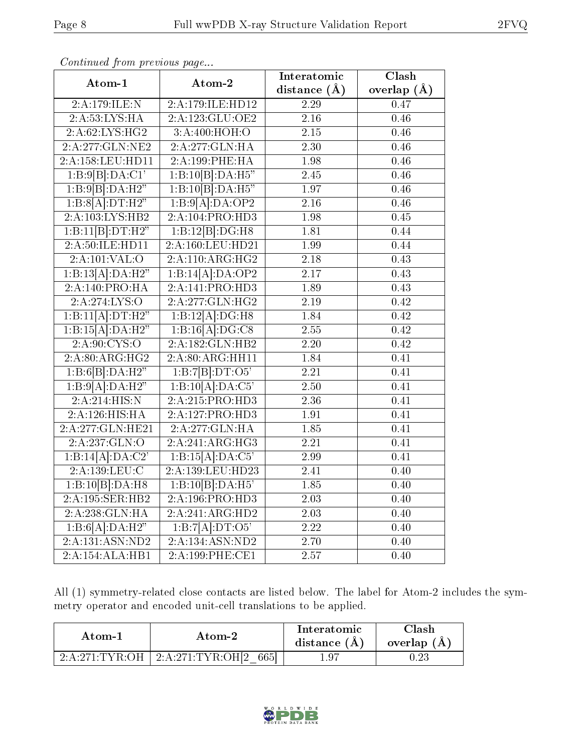|                  |                               | Interatomic      | $\overline{\text{Clash}}$ |
|------------------|-------------------------------|------------------|---------------------------|
| Atom-1           | Atom-2                        | distance $(\AA)$ | overlap $(\AA)$           |
| 2:A:179:ILE:N    | 2:A:179:ILE:HD12              | 2.29             | 0.47                      |
| 2:A:53:LYS:HA    | 2:A:123:GLU:OE2               | 2.16             | 0.46                      |
| 2:A:62:LYS:HG2   | 3:A:400:HOH:O                 | 2.15             | 0.46                      |
| 2:A:277:GLN:NE2  | 2:A:277:GLN:HA                | 2.30             | 0.46                      |
| 2:A:158:LEU:HD11 | 2:A:199:PHE:HA                | 1.98             | 0.46                      |
| 1:B:9[B]:DA:CI'  | 1:B:10[B]:DA:H5"              | 2.45             | 0.46                      |
| 1:B:9[B]:DA:H2"  | 1:B:10[B]:DA:H5"              | 1.97             | 0.46                      |
| 1:B:8[A]:DT:H2"  | 1:B:9[A]:DA:OP2               | 2.16             | 0.46                      |
| 2:A:103:LYS:HB2  | 2:A:104:PRO:H <sub>D3</sub>   | 1.98             | 0.45                      |
| 1:B:11[B]:DT:H2" | 1:B:12[B]:DG:H8               | 1.81             | 0.44                      |
| 2:A:50:ILE:HD11  | 2:A:160:LEU:HD21              | 1.99             | 0.44                      |
| 2:A:101:VAL:O    | 2:A:110:ARG:HG2               | 2.18             | 0.43                      |
| 1:B:13[A]:DA:H2" | 1:B:14[A]:DA:OP2              | 2.17             | 0.43                      |
| 2:A:140:PRO:HA   | 2:A:141:PRO:HD3               | 1.89             | 0.43                      |
| 2:A:274:LYS:O    | $2:A:277:GLN:H\overline{G2}$  | 2.19             | 0.42                      |
| 1:B:11[A]:DT:H2" | 1:B:12[A]:DG:H8               | 1.84             | 0.42                      |
| 1:B:15[A]:DA:H2" | 1:B:16[A]:DG:C8               | 2.55             | 0.42                      |
| 2: A:90: CYS:O   | 2:A:182:GLN:HB2               | 2.20             | 0.42                      |
| 2:A:80:ARG:HG2   | 2:A:80:ARG:HH11               | 1.84             | 0.41                      |
| 1:B:6[B]:DA:H2"  | 1:B:7[B]:DT:O5'               | 2.21             | 0.41                      |
| 1:B:9[A]:DA:H2"  | $1:B:\overline{10[A]:DA:C5'}$ | 2.50             | 0.41                      |
| 2:A:214:HIS:N    | 2:A:215:PRO:HD3               | 2.36             | 0.41                      |
| 2:A:126:HIS:HA   | 2:A:127:PRO:H <sub>D3</sub>   | 1.91             | 0.41                      |
| 2:A:277:GLN:HE21 | 2:A:277:GLN:HA                | 1.85             | 0.41                      |
| 2:A:237:GLN:O    | 2:A:241:ARG:HG3               | 2.21             | 0.41                      |
| 1:B:14[A]:DA:C2' | 1:B:15[A]:DA:C5'              | 2.99             | 0.41                      |
| 2:A:139:LEU:C    | 2:A:139:LEU:HD23              | 2.41             | 0.40                      |
| 1:B:10[B]:DA:H8  | 1:B:10[B]:DA:H5'              | 1.85             | 0.40                      |
| 2:A:195:SER:HB2  | 2:A:196:PRO:HD3               | 2.03             | 0.40                      |
| 2:A:238:GLN:HA   | 2:A:241:ARG:HD2               | 2.03             | 0.40                      |
| 1:B:6[A]:DA:H2"  | $1:B:7[A]\overline{.DT:O5'}$  | 2.22             | 0.40                      |
| 2:A:131:ASN:ND2  | 2:A:134:ASN:ND2               | 2.70             | 0.40                      |
| 2:A:154:ALA:HB1  | 2:A:199:PHE:CE1               | 2.57             | 0.40                      |

Continued from previous page...

All (1) symmetry-related close contacts are listed below. The label for Atom-2 includes the symmetry operator and encoded unit-cell translations to be applied.

| Atom-1                                     | Atom-2                  | Interatomic<br>distance $(A)$ | $\gamma$ lash<br>overlap (A) |
|--------------------------------------------|-------------------------|-------------------------------|------------------------------|
| $2 \cdot A \cdot 271 \cdot TVR \cdot OH$ . | 2:A:271:TYR:OH[2<br>665 | $1.9-$                        | $\rm 0.23$                   |

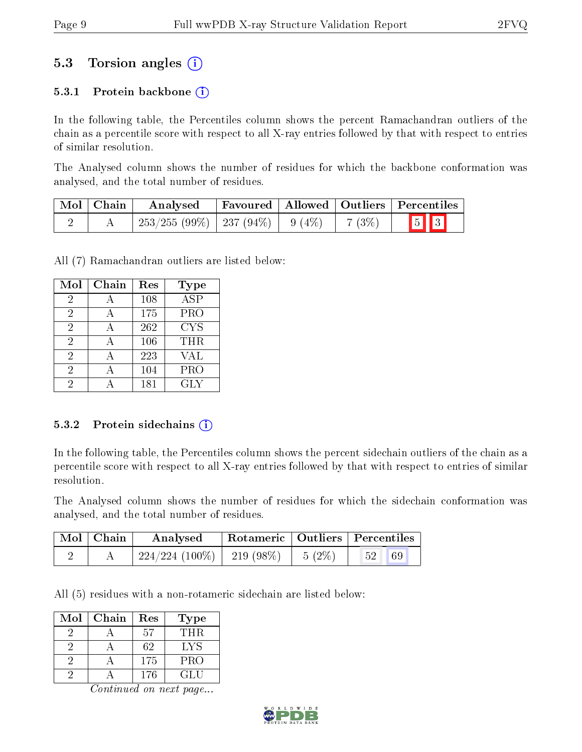## 5.3 Torsion angles (i)

### 5.3.1 Protein backbone  $(i)$

In the following table, the Percentiles column shows the percent Ramachandran outliers of the chain as a percentile score with respect to all X-ray entries followed by that with respect to entries of similar resolution.

The Analysed column shows the number of residues for which the backbone conformation was analysed, and the total number of residues.

| Mol   Chain | Analysed                                |  |         | $\lq$ Favoured   Allowed   Outliers   Percentiles |
|-------------|-----------------------------------------|--|---------|---------------------------------------------------|
|             | $253/255 (99\%)$   237 (94\%)   9 (4\%) |  | 7 (3\%) | $\boxed{5}$ $\boxed{3}$                           |

All (7) Ramachandran outliers are listed below:

| Mol            | Chain | Res | <b>Type</b>             |
|----------------|-------|-----|-------------------------|
| $\overline{2}$ |       | 108 | $\overline{\text{ASP}}$ |
| 2              |       | 175 | PRO                     |
| $\overline{2}$ |       | 262 | <b>CYS</b>              |
| 2              | A     | 106 | THR.                    |
| $\overline{2}$ |       | 223 | <b>VAL</b>              |
| $\overline{2}$ |       | 104 | PRO                     |
| 2              |       | 181 | GLY                     |

#### 5.3.2 Protein sidechains  $(i)$

In the following table, the Percentiles column shows the percent sidechain outliers of the chain as a percentile score with respect to all X-ray entries followed by that with respect to entries of similar resolution.

The Analysed column shows the number of residues for which the sidechain conformation was analysed, and the total number of residues.

| $\mid$ Mol $\mid$ Chain | Analysed                       | Rotameric   Outliers   Percentiles |          |    |
|-------------------------|--------------------------------|------------------------------------|----------|----|
|                         | $224/224$ (100\%)   219 (98\%) |                                    | $5(2\%)$ | 69 |

All (5) residues with a non-rotameric sidechain are listed below:

| Mol | Chain | Res | Type       |
|-----|-------|-----|------------|
|     |       | 57  | THR.       |
|     |       | 62  | LYS        |
|     |       | 175 | <b>PRO</b> |
|     |       | 176 | GLU        |

Continued on next page...

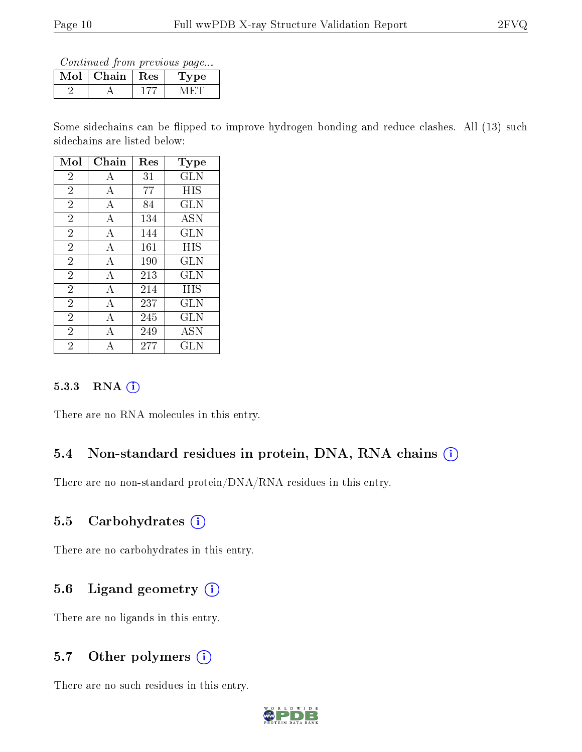Continued from previous page...

| M | Chain   Res | рe |
|---|-------------|----|
|   |             |    |

Some sidechains can be flipped to improve hydrogen bonding and reduce clashes. All (13) such sidechains are listed below:

| Mol            | ${\rm Chain}$             | Res     | $_{\rm Type}$ |
|----------------|---------------------------|---------|---------------|
| $\overline{2}$ | А                         | 31      | <b>GLN</b>    |
| $\overline{2}$ | А                         | 77      | HIS           |
| $\overline{2}$ | А                         | 84      | <b>GLN</b>    |
| $\overline{2}$ | А                         | 134     | <b>ASN</b>    |
| $\overline{2}$ | $\boldsymbol{\mathrm{A}}$ | 144     | <b>GLN</b>    |
| $\overline{2}$ | А                         | 161     | <b>HIS</b>    |
| $\overline{2}$ | А                         | 190     | <b>GLN</b>    |
| $\overline{2}$ | А                         | 213     | <b>GLN</b>    |
| $\overline{2}$ | А                         | 214     | HIS           |
| $\overline{2}$ | А                         | 237     | GLN           |
| $\overline{2}$ | А                         | 245     | GLN           |
| $\overline{2}$ | Α                         | 249     | <b>ASN</b>    |
| $\overline{2}$ |                           | $277\,$ | $_{\rm GLN}$  |

#### 5.3.3 RNA (i)

There are no RNA molecules in this entry.

### 5.4 Non-standard residues in protein, DNA, RNA chains (i)

There are no non-standard protein/DNA/RNA residues in this entry.

### 5.5 Carbohydrates  $(i)$

There are no carbohydrates in this entry.

### 5.6 Ligand geometry  $(i)$

There are no ligands in this entry.

### 5.7 [O](https://www.wwpdb.org/validation/2017/XrayValidationReportHelp#nonstandard_residues_and_ligands)ther polymers (i)

There are no such residues in this entry.

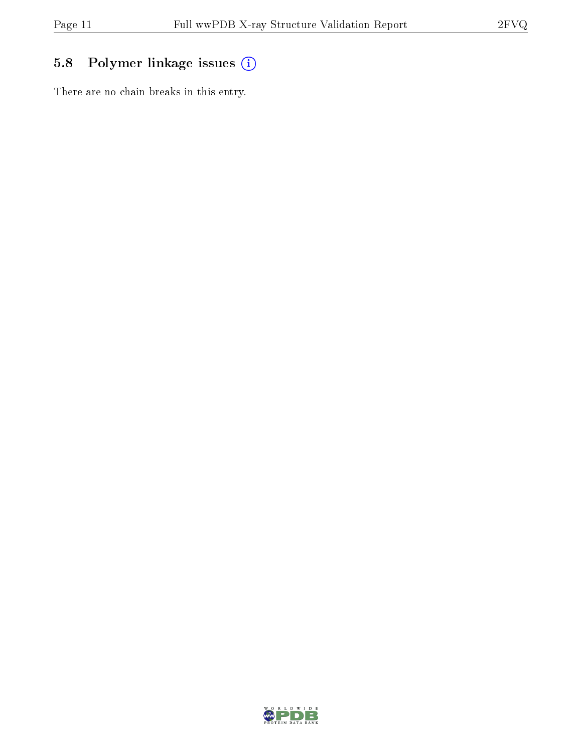## 5.8 Polymer linkage issues (i)

There are no chain breaks in this entry.

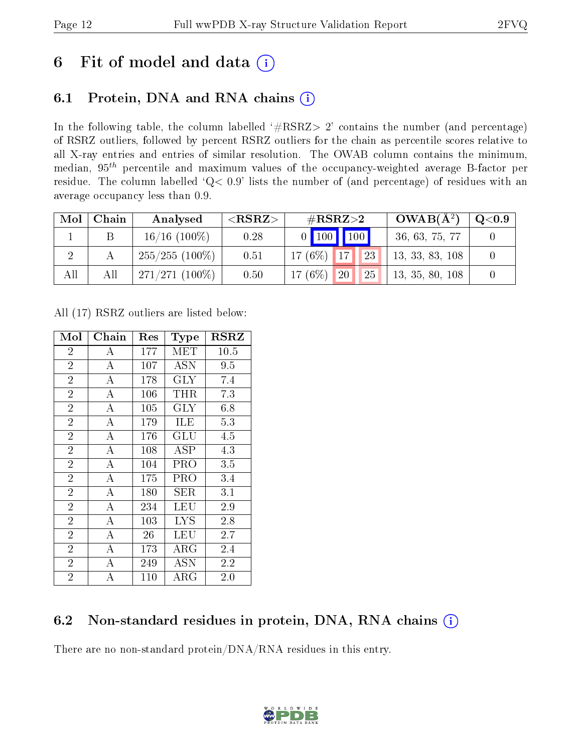# 6 Fit of model and data  $(i)$

## 6.1 Protein, DNA and RNA chains  $(i)$

In the following table, the column labelled  $#RSRZ> 2'$  contains the number (and percentage) of RSRZ outliers, followed by percent RSRZ outliers for the chain as percentile scores relative to all X-ray entries and entries of similar resolution. The OWAB column contains the minimum, median,  $95<sup>th</sup>$  percentile and maximum values of the occupancy-weighted average B-factor per residue. The column labelled ' $Q< 0.9$ ' lists the number of (and percentage) of residues with an average occupancy less than 0.9.

| Mol | Chain | Analysed         | ${ <\hspace{-1.5pt}{\mathrm{RSRZ}} \hspace{-1.5pt}>}$ | $\#\text{RSRZ}\text{>2}$            | $OWAB(A^2)$     | $\mathrm{Q}{<}0.9$ |
|-----|-------|------------------|-------------------------------------------------------|-------------------------------------|-----------------|--------------------|
|     |       | $16/16$ (100\%)  | 0.28                                                  | $0$ 100 100                         | 36, 63, 75, 77  |                    |
|     |       | $255/255(100\%)$ | 0.51                                                  | $17(6\%)$ 17<br>$\blacksquare$ 123  | 13, 33, 83, 108 |                    |
| All | All   | $271/271(100\%)$ | 0.50                                                  | 17 $(6\%)$<br>20 <sup>1</sup><br>25 | 13, 35, 80, 108 |                    |

All (17) RSRZ outliers are listed below:

| Mol            | Chain              | Res | Type       | $_{\rm RSRZ}$ |
|----------------|--------------------|-----|------------|---------------|
| $\overline{2}$ | A                  | 177 | MET        | 10.5          |
| $\overline{2}$ | $\overline{A}$     | 107 | ASN        | 9.5           |
| $\overline{2}$ | $\overline{A}$     | 178 | <b>GLY</b> | 7.4           |
| $\overline{2}$ | $\bf{A}$           | 106 | THR        | 7.3           |
| $\overline{2}$ | $\boldsymbol{A}$   | 105 | $\rm GLY$  | 6.8           |
| $\overline{2}$ | $\overline{A}$     | 179 | ILE        | 5.3           |
| $\overline{2}$ | $\boldsymbol{A}$   | 176 | GLU        | 4.5           |
| $\overline{2}$ | $\boldsymbol{A}$   | 108 | ASP        | 4.3           |
| $\overline{2}$ | $\boldsymbol{A}$   | 104 | PRO        | 3.5           |
| $\overline{2}$ | $\overline{A}$     | 175 | PRO        | 3.4           |
| $\sqrt{2}$     | $\boldsymbol{A}$   | 180 | SER        | 3.1           |
| $\overline{2}$ | $\overline{A}$     | 234 | LEU        | 2.9           |
| $\overline{2}$ | $\overline{A}$     | 103 | <b>LYS</b> | 2.8           |
| $\overline{2}$ | $\bf{A}$           | 26  | LEU        | 2.7           |
| $\overline{2}$ | $\overline{\rm A}$ | 173 | $\rm{ARG}$ | 2.4           |
| $\overline{2}$ | А                  | 249 | ASN        | 2.2           |
| $\overline{2}$ | А                  | 110 | $\rm{ARG}$ | 2.0           |

## 6.2 Non-standard residues in protein, DNA, RNA chains  $(i)$

There are no non-standard protein/DNA/RNA residues in this entry.